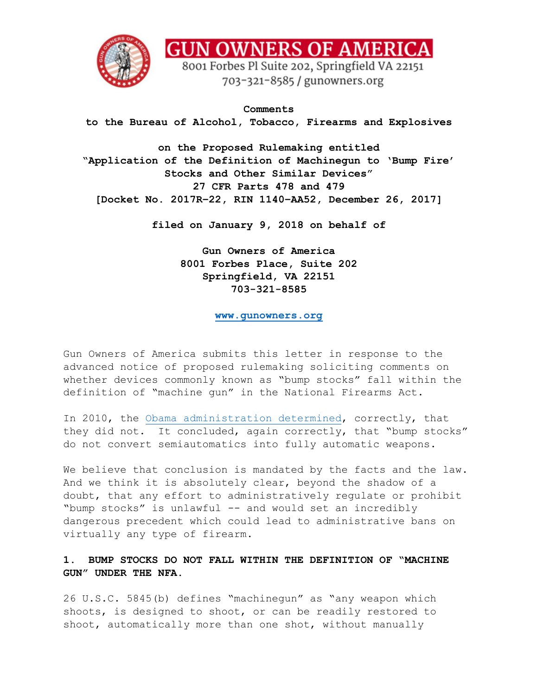

**GUN OWNERS OF AMERICA** 

8001 Forbes Pl Suite 202, Springfield VA 22151 703-321-8585 / gunowners.org

**Comments to the Bureau of Alcohol, Tobacco, Firearms and Explosives**

**on the Proposed Rulemaking entitled "Application of the Definition of Machinegun to 'Bump Fire' Stocks and Other Similar Devices" 27 CFR Parts 478 and 479 [Docket No. 2017R–22, RIN 1140–AA52, December 26, 2017]**

**filed on January 9, 2018 on behalf of** 

**Gun Owners of America 8001 Forbes Place, Suite 202 Springfield, VA 22151 703-321-8585**

**[www.gunowners.org](http://www.gunowners.org/)**

Gun Owners of America submits this letter in response to the advanced notice of proposed rulemaking soliciting comments on whether devices commonly known as "bump stocks" fall within the definition of "machine gun" in the National Firearms Act.

In 2010, the [Obama administration determined,](https://www.ammoland.com/2017/10/slide-fire-bump-fire-gun-stocks-not-automatic-weapon-says-atf/#axzz53KjQD100) correctly, that they did not. It concluded, again correctly, that "bump stocks" do not convert semiautomatics into fully automatic weapons.

We believe that conclusion is mandated by the facts and the law. And we think it is absolutely clear, beyond the shadow of a doubt, that any effort to administratively regulate or prohibit "bump stocks" is unlawful -- and would set an incredibly dangerous precedent which could lead to administrative bans on virtually any type of firearm.

## **1. BUMP STOCKS DO NOT FALL WITHIN THE DEFINITION OF "MACHINE GUN" UNDER THE NFA.**

26 U.S.C. 5845(b) defines "machinegun" as "any weapon which shoots, is designed to shoot, or can be readily restored to shoot, automatically more than one shot, without manually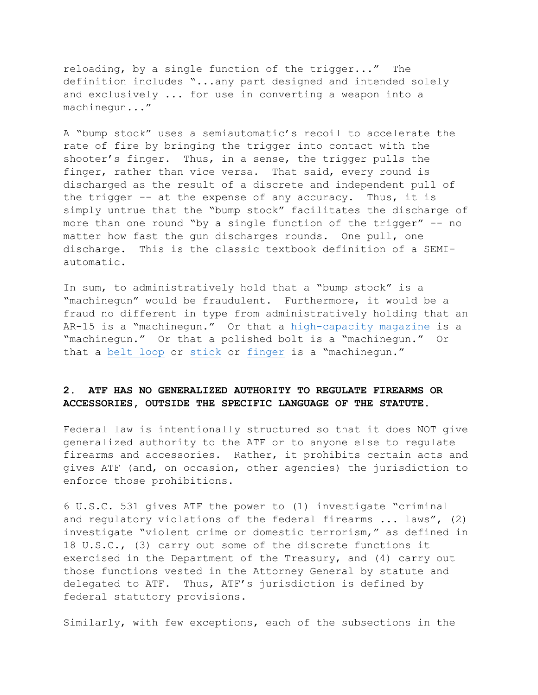reloading, by a single function of the trigger..." The definition includes "...any part designed and intended solely and exclusively ... for use in converting a weapon into a machinegun..."

A "bump stock" uses a semiautomatic's recoil to accelerate the rate of fire by bringing the trigger into contact with the shooter's finger. Thus, in a sense, the trigger pulls the finger, rather than vice versa. That said, every round is discharged as the result of a discrete and independent pull of the trigger -- at the expense of any accuracy. Thus, it is simply untrue that the "bump stock" facilitates the discharge of more than one round "by a single function of the trigger" -- no matter how fast the gun discharges rounds. One pull, one discharge. This is the classic textbook definition of a SEMIautomatic.

In sum, to administratively hold that a "bump stock" is a "machinegun" would be fraudulent. Furthermore, it would be a fraud no different in type from administratively holding that an AR-15 is a "machinegun." Or that a [high-capacity magazine](https://gunowners.org/10-reasons-to-oppose-ban.htm) is a "machinegun." Or that a polished bolt is a "machinegun." Or that a [belt loop](https://youtu.be/_5Aul-sEPu0?t=167) or [stick](https://www.youtube.com/watch?time_continue=26&v=QkWuYr0cD4M) or [finger](https://www.youtube.com/watch?time_continue=63&v=5gjmASo0byU) is a "machinegun."

## **2. ATF HAS NO GENERALIZED AUTHORITY TO REGULATE FIREARMS OR ACCESSORIES, OUTSIDE THE SPECIFIC LANGUAGE OF THE STATUTE.**

Federal law is intentionally structured so that it does NOT give generalized authority to the ATF or to anyone else to regulate firearms and accessories. Rather, it prohibits certain acts and gives ATF (and, on occasion, other agencies) the jurisdiction to enforce those prohibitions.

6 U.S.C. 531 gives ATF the power to (1) investigate "criminal and regulatory violations of the federal firearms ... laws", (2) investigate "violent crime or domestic terrorism," as defined in 18 U.S.C., (3) carry out some of the discrete functions it exercised in the Department of the Treasury, and (4) carry out those functions vested in the Attorney General by statute and delegated to ATF. Thus, ATF's jurisdiction is defined by federal statutory provisions.

Similarly, with few exceptions, each of the subsections in the